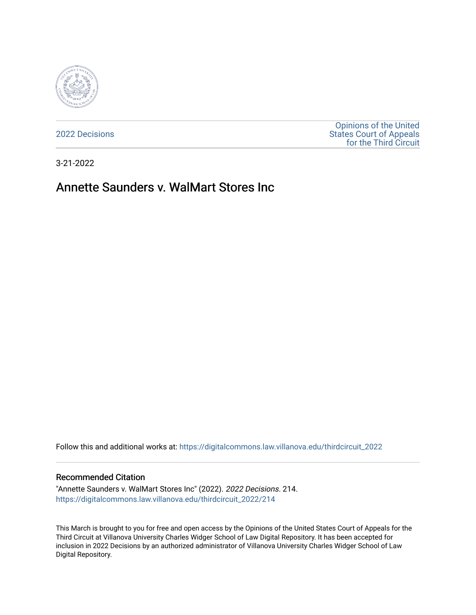

[2022 Decisions](https://digitalcommons.law.villanova.edu/thirdcircuit_2022)

[Opinions of the United](https://digitalcommons.law.villanova.edu/thirdcircuit)  [States Court of Appeals](https://digitalcommons.law.villanova.edu/thirdcircuit)  [for the Third Circuit](https://digitalcommons.law.villanova.edu/thirdcircuit) 

3-21-2022

# Annette Saunders v. WalMart Stores Inc

Follow this and additional works at: [https://digitalcommons.law.villanova.edu/thirdcircuit\\_2022](https://digitalcommons.law.villanova.edu/thirdcircuit_2022?utm_source=digitalcommons.law.villanova.edu%2Fthirdcircuit_2022%2F214&utm_medium=PDF&utm_campaign=PDFCoverPages) 

#### Recommended Citation

"Annette Saunders v. WalMart Stores Inc" (2022). 2022 Decisions. 214. [https://digitalcommons.law.villanova.edu/thirdcircuit\\_2022/214](https://digitalcommons.law.villanova.edu/thirdcircuit_2022/214?utm_source=digitalcommons.law.villanova.edu%2Fthirdcircuit_2022%2F214&utm_medium=PDF&utm_campaign=PDFCoverPages)

This March is brought to you for free and open access by the Opinions of the United States Court of Appeals for the Third Circuit at Villanova University Charles Widger School of Law Digital Repository. It has been accepted for inclusion in 2022 Decisions by an authorized administrator of Villanova University Charles Widger School of Law Digital Repository.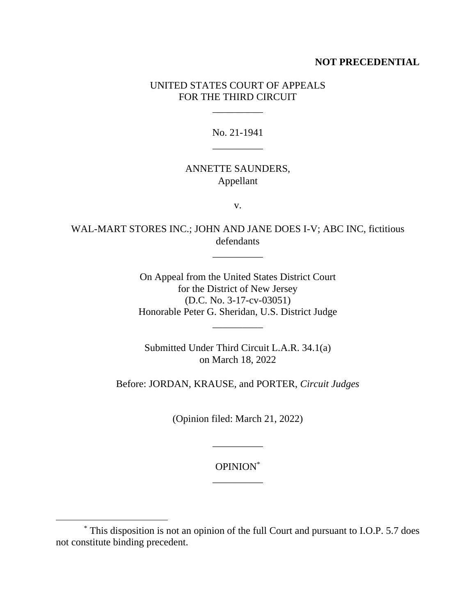### **NOT PRECEDENTIAL**

# UNITED STATES COURT OF APPEALS FOR THE THIRD CIRCUIT

\_\_\_\_\_\_\_\_\_\_

# No. 21-1941 \_\_\_\_\_\_\_\_\_\_

### ANNETTE SAUNDERS, Appellant

v.

WAL-MART STORES INC.; JOHN AND JANE DOES I-V; ABC INC, fictitious defendants

\_\_\_\_\_\_\_\_\_\_

On Appeal from the United States District Court for the District of New Jersey (D.C. No. 3-17-cv-03051) Honorable Peter G. Sheridan, U.S. District Judge

\_\_\_\_\_\_\_\_\_\_

Submitted Under Third Circuit L.A.R. 34.1(a) on March 18, 2022

Before: JORDAN, KRAUSE, and PORTER, *Circuit Judges*

(Opinion filed: March 21, 2022)

OPINION\* \_\_\_\_\_\_\_\_\_\_

\_\_\_\_\_\_\_\_\_\_

<sup>\*</sup> This disposition is not an opinion of the full Court and pursuant to I.O.P. 5.7 does not constitute binding precedent.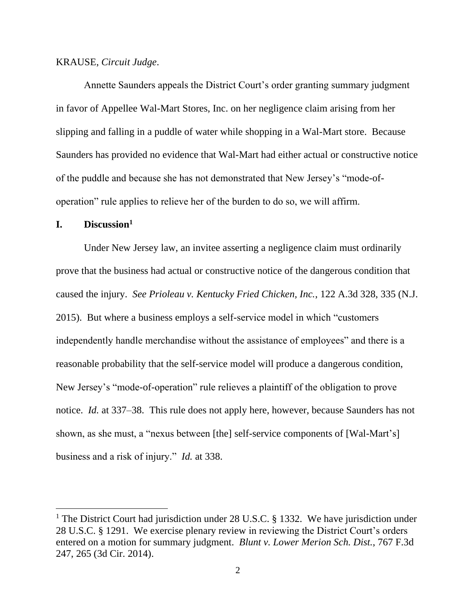### KRAUSE, *Circuit Judge*.

Annette Saunders appeals the District Court's order granting summary judgment in favor of Appellee Wal-Mart Stores, Inc. on her negligence claim arising from her slipping and falling in a puddle of water while shopping in a Wal-Mart store. Because Saunders has provided no evidence that Wal-Mart had either actual or constructive notice of the puddle and because she has not demonstrated that New Jersey's "mode-ofoperation" rule applies to relieve her of the burden to do so, we will affirm.

# **I. Discussion<sup>1</sup>**

Under New Jersey law, an invitee asserting a negligence claim must ordinarily prove that the business had actual or constructive notice of the dangerous condition that caused the injury. *See Prioleau v. Kentucky Fried Chicken, Inc.*, 122 A.3d 328, 335 (N.J. 2015). But where a business employs a self-service model in which "customers independently handle merchandise without the assistance of employees" and there is a reasonable probability that the self-service model will produce a dangerous condition, New Jersey's "mode-of-operation" rule relieves a plaintiff of the obligation to prove notice. *Id.* at 337–38. This rule does not apply here, however, because Saunders has not shown, as she must, a "nexus between [the] self-service components of [Wal-Mart's] business and a risk of injury." *Id.* at 338.

<sup>&</sup>lt;sup>1</sup> The District Court had jurisdiction under 28 U.S.C. § 1332. We have jurisdiction under 28 U.S.C. § 1291. We exercise plenary review in reviewing the District Court's orders entered on a motion for summary judgment. *Blunt v. Lower Merion Sch. Dist.*, 767 F.3d 247, 265 (3d Cir. 2014).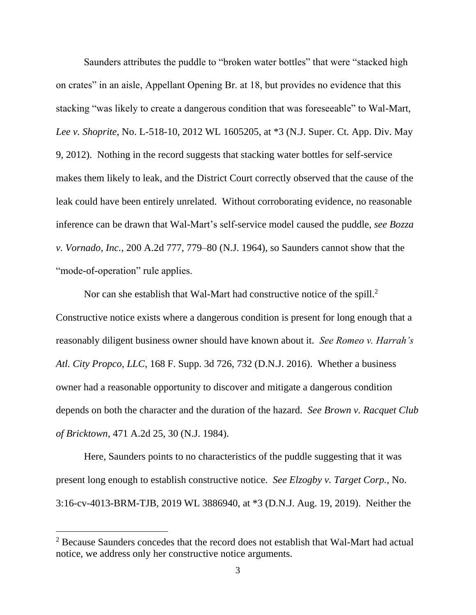Saunders attributes the puddle to "broken water bottles" that were "stacked high on crates" in an aisle, Appellant Opening Br. at 18, but provides no evidence that this stacking "was likely to create a dangerous condition that was foreseeable" to Wal-Mart, *Lee v. Shoprite*, No. L-518-10, 2012 WL 1605205, at \*3 (N.J. Super. Ct. App. Div. May 9, 2012). Nothing in the record suggests that stacking water bottles for self-service makes them likely to leak, and the District Court correctly observed that the cause of the leak could have been entirely unrelated. Without corroborating evidence, no reasonable inference can be drawn that Wal-Mart's self-service model caused the puddle, *see Bozza v. Vornado, Inc.,* 200 A.2d 777, 779–80 (N.J. 1964), so Saunders cannot show that the "mode-of-operation" rule applies.

Nor can she establish that Wal-Mart had constructive notice of the spill. $2$ Constructive notice exists where a dangerous condition is present for long enough that a reasonably diligent business owner should have known about it. *See Romeo v. Harrah's Atl. City Propco, LLC*, 168 F. Supp. 3d 726, 732 (D.N.J. 2016). Whether a business owner had a reasonable opportunity to discover and mitigate a dangerous condition depends on both the character and the duration of the hazard. *See Brown v. Racquet Club of Bricktown*, 471 A.2d 25, 30 (N.J. 1984).

Here, Saunders points to no characteristics of the puddle suggesting that it was present long enough to establish constructive notice. *See Elzogby v. Target Corp.*, No. 3:16-cv-4013-BRM-TJB, 2019 WL 3886940, at \*3 (D.N.J. Aug. 19, 2019). Neither the

<sup>&</sup>lt;sup>2</sup> Because Saunders concedes that the record does not establish that Wal-Mart had actual notice, we address only her constructive notice arguments.